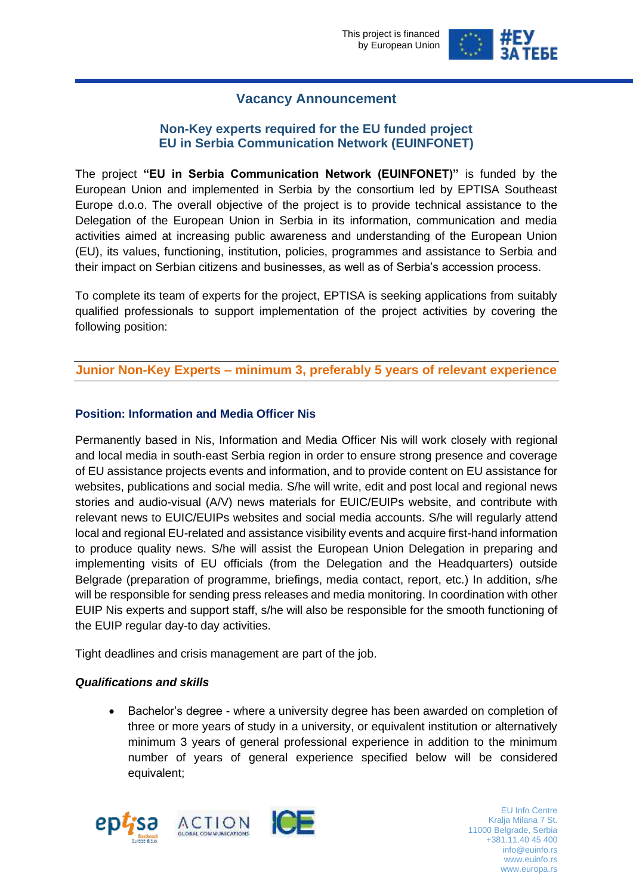

# **Vacancy Announcement**

# **Non-Key experts required for the EU funded project EU in Serbia Communication Network (EUINFONET)**

The project **"EU in Serbia Communication Network (EUINFONET)"** is funded by the European Union and implemented in Serbia by the consortium led by EPTISA Southeast Europe d.o.o. The overall objective of the project is to provide technical assistance to the Delegation of the European Union in Serbia in its information, communication and media activities aimed at increasing public awareness and understanding of the European Union (EU), its values, functioning, institution, policies, programmes and assistance to Serbia and their impact on Serbian citizens and businesses, as well as of Serbia's accession process.

To complete its team of experts for the project, EPTISA is seeking applications from suitably qualified professionals to support implementation of the project activities by covering the following position:

# **Junior Non-Key Experts – minimum 3, preferably 5 years of relevant experience**

## **Position: Information and Media Officer Nis**

Permanently based in Nis, Information and Media Officer Nis will work closely with regional and local media in south-east Serbia region in order to ensure strong presence and coverage of EU assistance projects events and information, and to provide content on EU assistance for websites, publications and social media. S/he will write, edit and post local and regional news stories and audio-visual (A/V) news materials for EUIC/EUIPs website, and contribute with relevant news to EUIC/EUIPs websites and social media accounts. S/he will regularly attend local and regional EU-related and assistance visibility events and acquire first-hand information to produce quality news. S/he will assist the European Union Delegation in preparing and implementing visits of EU officials (from the Delegation and the Headquarters) outside Belgrade (preparation of programme, briefings, media contact, report, etc.) In addition, s/he will be responsible for sending press releases and media monitoring. In coordination with other EUIP Nis experts and support staff, s/he will also be responsible for the smooth functioning of the EUIP regular day-to day activities.

Tight deadlines and crisis management are part of the job.

### *Qualifications and skills*

• Bachelor's degree - where a university degree has been awarded on completion of three or more years of study in a university, or equivalent institution or alternatively minimum 3 years of general professional experience in addition to the minimum number of years of general experience specified below will be considered equivalent;



EU Info Centre<br>Kralja Milana 7 St. +381.11.40 45 400 info@euinfo.rs www.euinfo.rs www.europa.rs